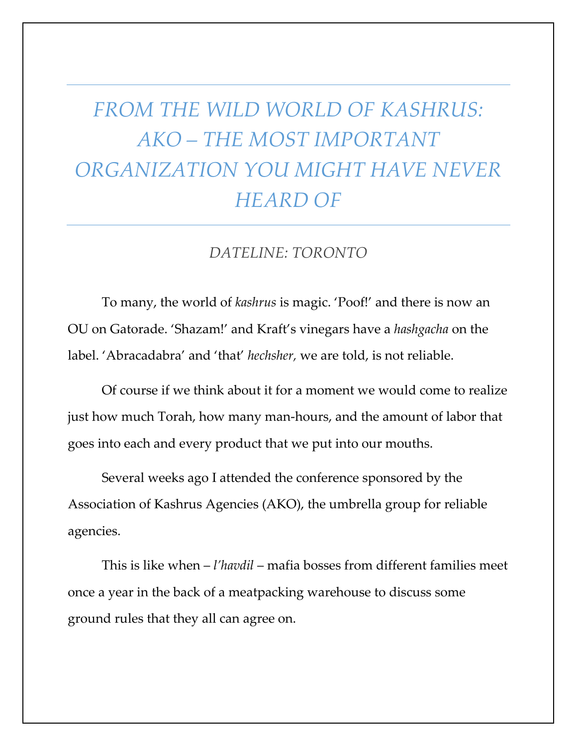## *FROM THE WILD WORLD OF KASHRUS: AKO – THE MOST IMPORTANT ORGANIZATION YOU MIGHT HAVE NEVER HEARD OF*

## *DATELINE: TORONTO*

To many, the world of *kashrus* is magic. 'Poof!' and there is now an OU on Gatorade. 'Shazam!' and Kraft's vinegars have a *hashgacha* on the label. 'Abracadabra' and 'that' *hechsher,* we are told, is not reliable.

Of course if we think about it for a moment we would come to realize just how much Torah, how many man-hours, and the amount of labor that goes into each and every product that we put into our mouths.

Several weeks ago I attended the conference sponsored by the Association of Kashrus Agencies (AKO), the umbrella group for reliable agencies.

This is like when – *l'havdil* – mafia bosses from different families meet once a year in the back of a meatpacking warehouse to discuss some ground rules that they all can agree on.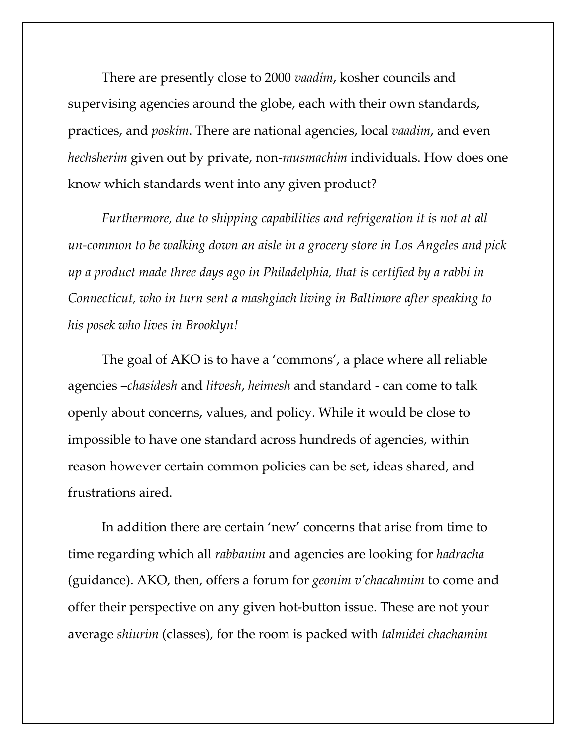There are presently close to 2000 *vaadim*, kosher councils and supervising agencies around the globe, each with their own standards, practices, and *poskim*. There are national agencies, local *vaadim*, and even *hechsherim* given out by private, non-*musmachim* individuals. How does one know which standards went into any given product?

*Furthermore, due to shipping capabilities and refrigeration it is not at all un-common to be walking down an aisle in a grocery store in Los Angeles and pick up a product made three days ago in Philadelphia, that is certified by a rabbi in Connecticut, who in turn sent a mashgiach living in Baltimore after speaking to his posek who lives in Brooklyn!* 

The goal of AKO is to have a 'commons', a place where all reliable agencies –*chasidesh* and *litvesh*, *heimesh* and standard - can come to talk openly about concerns, values, and policy. While it would be close to impossible to have one standard across hundreds of agencies, within reason however certain common policies can be set, ideas shared, and frustrations aired.

In addition there are certain 'new' concerns that arise from time to time regarding which all *rabbanim* and agencies are looking for *hadracha* (guidance). AKO, then, offers a forum for *geonim v'chacahmim* to come and offer their perspective on any given hot-button issue. These are not your average *shiurim* (classes), for the room is packed with *talmidei chachamim*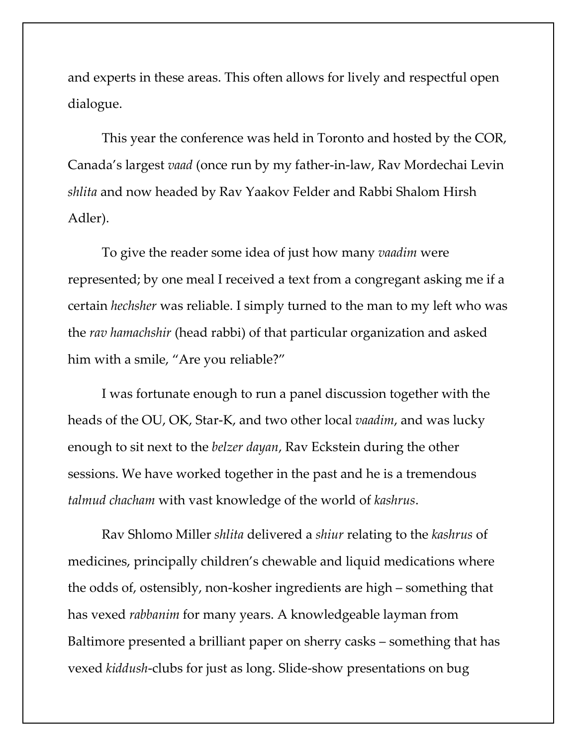and experts in these areas. This often allows for lively and respectful open dialogue.

This year the conference was held in Toronto and hosted by the COR, Canada's largest *vaad* (once run by my father-in-law, Rav Mordechai Levin *shlita* and now headed by Rav Yaakov Felder and Rabbi Shalom Hirsh Adler).

To give the reader some idea of just how many *vaadim* were represented; by one meal I received a text from a congregant asking me if a certain *hechsher* was reliable. I simply turned to the man to my left who was the *rav hamachshir* (head rabbi) of that particular organization and asked him with a smile, "Are you reliable?"

I was fortunate enough to run a panel discussion together with the heads of the OU, OK, Star-K, and two other local *vaadim*, and was lucky enough to sit next to the *belzer dayan*, Rav Eckstein during the other sessions. We have worked together in the past and he is a tremendous *talmud chacham* with vast knowledge of the world of *kashrus*.

Rav Shlomo Miller *shlita* delivered a *shiur* relating to the *kashrus* of medicines, principally children's chewable and liquid medications where the odds of, ostensibly, non-kosher ingredients are high – something that has vexed *rabbanim* for many years. A knowledgeable layman from Baltimore presented a brilliant paper on sherry casks – something that has vexed *kiddush*-clubs for just as long. Slide-show presentations on bug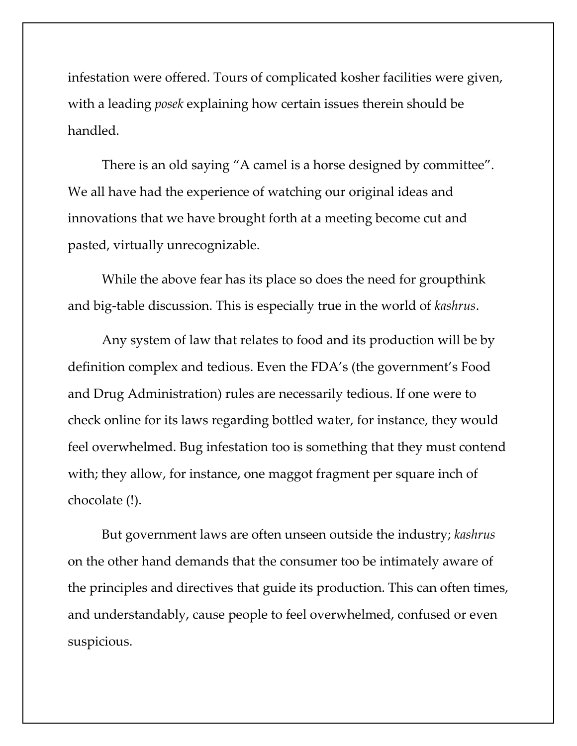infestation were offered. Tours of complicated kosher facilities were given, with a leading *posek* explaining how certain issues therein should be handled.

There is an old saying "A camel is a horse designed by committee". We all have had the experience of watching our original ideas and innovations that we have brought forth at a meeting become cut and pasted, virtually unrecognizable.

While the above fear has its place so does the need for groupthink and big-table discussion. This is especially true in the world of *kashrus*.

Any system of law that relates to food and its production will be by definition complex and tedious. Even the FDA's (the government's Food and Drug Administration) rules are necessarily tedious. If one were to check online for its laws regarding bottled water, for instance, they would feel overwhelmed. Bug infestation too is something that they must contend with; they allow, for instance, one maggot fragment per square inch of chocolate (!).

But government laws are often unseen outside the industry; *kashrus* on the other hand demands that the consumer too be intimately aware of the principles and directives that guide its production. This can often times, and understandably, cause people to feel overwhelmed, confused or even suspicious.